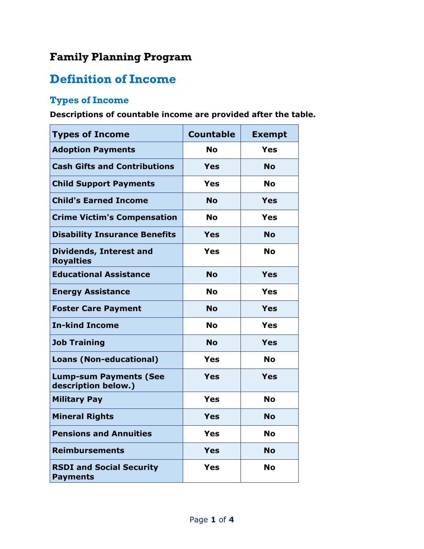## **Family Planning Program**

## **Definition of Income**

## **Types of Income**

**Descriptions of countable income are provided after the table.**

| <b>Types of Income</b>                               | <b>Countable</b> | <b>Exempt</b> |
|------------------------------------------------------|------------------|---------------|
| <b>Adoption Payments</b>                             | <b>No</b>        | <b>Yes</b>    |
| <b>Cash Gifts and Contributions</b>                  | <b>Yes</b>       | Nο            |
| <b>Child Support Payments</b>                        | <b>Yes</b>       | <b>No</b>     |
| <b>Child's Earned Income</b>                         | <b>No</b>        | Yes           |
| <b>Crime Victim's Compensation</b>                   | No               | <b>Yes</b>    |
| <b>Disability Insurance Benefits</b>                 | Yes              | <b>No</b>     |
| <b>Dividends, Interest and</b><br><b>Royalties</b>   | <b>Yes</b>       | <b>No</b>     |
| <b>Educational Assistance</b>                        | <b>No</b>        | Yes           |
| <b>Energy Assistance</b>                             | <b>No</b>        | <b>Yes</b>    |
| <b>Foster Care Payment</b>                           | <b>No</b>        | <b>Yes</b>    |
| <b>In-kind Income</b>                                | <b>No</b>        | <b>Yes</b>    |
| <b>Job Training</b>                                  | <b>No</b>        | Yes           |
| <b>Loans (Non-educational)</b>                       | Yes              | <b>No</b>     |
| <b>Lump-sum Payments (See</b><br>description below.) | <b>Yes</b>       | <b>Yes</b>    |
| <b>Military Pay</b>                                  | <b>Yes</b>       | <b>No</b>     |
| <b>Mineral Rights</b>                                | Yes              | <b>No</b>     |
| <b>Pensions and Annuities</b>                        | <b>Yes</b>       | No            |
| <b>Reimbursements</b>                                | <b>Yes</b>       | <b>No</b>     |
| <b>RSDI and Social Security</b><br><b>Payments</b>   | <b>Yes</b>       | No            |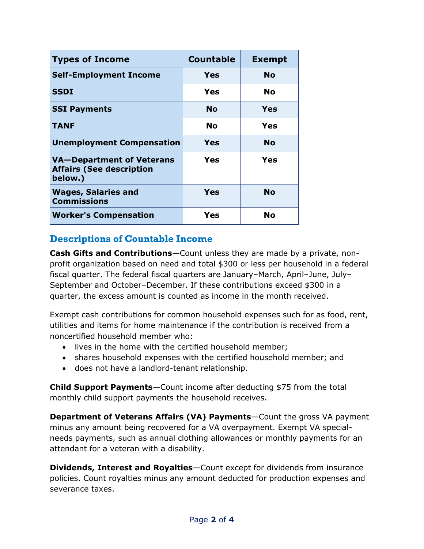| <b>Types of Income</b>                                                  | <b>Countable</b> | <b>Exempt</b> |
|-------------------------------------------------------------------------|------------------|---------------|
| <b>Self-Employment Income</b>                                           | Yes              | <b>No</b>     |
| <b>SSDI</b>                                                             | Yes              | <b>No</b>     |
| <b>SSI Payments</b>                                                     | <b>No</b>        | Yes           |
| <b>TANF</b>                                                             | No               | Yes           |
| <b>Unemployment Compensation</b>                                        | Yes              | <b>No</b>     |
| VA-Department of Veterans<br><b>Affairs (See description</b><br>below.) | <b>Yes</b>       | Yes           |
| <b>Wages, Salaries and</b><br><b>Commissions</b>                        | Yes              | <b>No</b>     |
| <b>Worker's Compensation</b>                                            | <b>Yes</b>       | No            |

## **Descriptions of Countable Income**

**Cash Gifts and Contributions**—Count unless they are made by a private, nonprofit organization based on need and total \$300 or less per household in a federal fiscal quarter. The federal fiscal quarters are January–March, April–June, July– September and October-December. If these contributions exceed \$300 in a quarter, the excess amount is counted as income in the month received.

Exempt cash contributions for common household expenses such for as food, rent, utilities and items for home maintenance if the contribution is received from a noncertified household member who:

- lives in the home with the certified household member;
- shares household expenses with the certified household member; and
- does not have a landlord-tenant relationship.

**Child Support Payments**—Count income after deducting \$75 from the total monthly child support payments the household receives.

**Department of Veterans Affairs (VA) Payments**—Count the gross VA payment minus any amount being recovered for a VA overpayment. Exempt VA specialneeds payments, such as annual clothing allowances or monthly payments for an attendant for a veteran with a disability.

**Dividends, Interest and Royalties**—Count except for dividends from insurance policies. Count royalties minus any amount deducted for production expenses and severance taxes.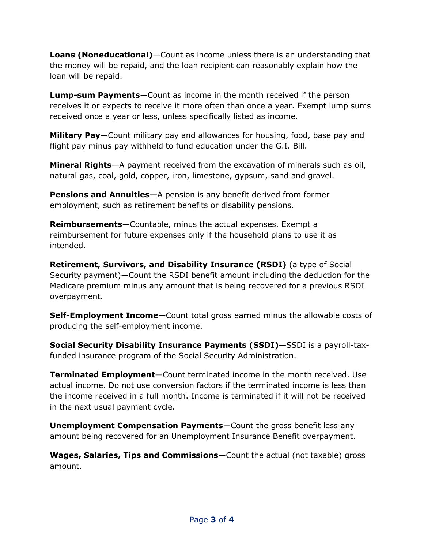**Loans (Noneducational)**—Count as income unless there is an understanding that the money will be repaid, and the loan recipient can reasonably explain how the loan will be repaid.

**Lump-sum Payments**—Count as income in the month received if the person receives it or expects to receive it more often than once a year. Exempt lump sums received once a year or less, unless specifically listed as income.

**Military Pay**—Count military pay and allowances for housing, food, base pay and flight pay minus pay withheld to fund education under the G.I. Bill.

**Mineral Rights**—A payment received from the excavation of minerals such as oil, natural gas, coal, gold, copper, iron, limestone, gypsum, sand and gravel.

**Pensions and Annuities**—A pension is any benefit derived from former employment, such as retirement benefits or disability pensions.

**Reimbursements**—Countable, minus the actual expenses. Exempt a reimbursement for future expenses only if the household plans to use it as intended.

**Retirement, Survivors, and Disability Insurance (RSDI)** (a type of Social Security payment)—Count the RSDI benefit amount including the deduction for the Medicare premium minus any amount that is being recovered for a previous RSDI overpayment.

**Self-Employment Income**—Count total gross earned minus the allowable costs of producing the self-employment income.

**Social Security Disability Insurance Payments (SSDI)**—SSDI is a payroll-taxfunded insurance program of the Social Security Administration.

**Terminated Employment**—Count terminated income in the month received. Use actual income. Do not use conversion factors if the terminated income is less than the income received in a full month. Income is terminated if it will not be received in the next usual payment cycle.

**Unemployment Compensation Payments**—Count the gross benefit less any amount being recovered for an Unemployment Insurance Benefit overpayment.

**Wages, Salaries, Tips and Commissions**—Count the actual (not taxable) gross amount.